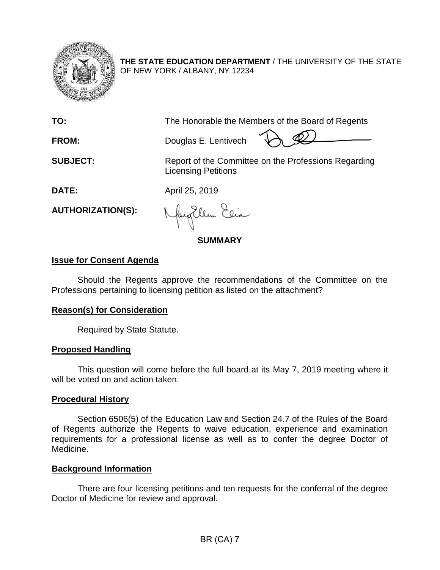

**THE STATE EDUCATION DEPARTMENT** / THE UNIVERSITY OF THE STATE OF NEW YORK / ALBANY, NY 12234

**TO:** The Honorable the Members of the Board of Regents

**FROM:** Douglas E. Lentivech

**SUBJECT:** Report of the Committee on the Professions Regarding Licensing Petitions

**DATE:** April 25, 2019

**AUTHORIZATION(S):**

fayillen Elia

**SUMMARY**

# **Issue for Consent Agenda**

Should the Regents approve the recommendations of the Committee on the Professions pertaining to licensing petition as listed on the attachment?

## **Reason(s) for Consideration**

Required by State Statute.

# **Proposed Handling**

This question will come before the full board at its May 7, 2019 meeting where it will be voted on and action taken.

# **Procedural History**

Section 6506(5) of the Education Law and Section 24.7 of the Rules of the Board of Regents authorize the Regents to waive education, experience and examination requirements for a professional license as well as to confer the degree Doctor of Medicine.

## **Background Information**

There are four licensing petitions and ten requests for the conferral of the degree Doctor of Medicine for review and approval.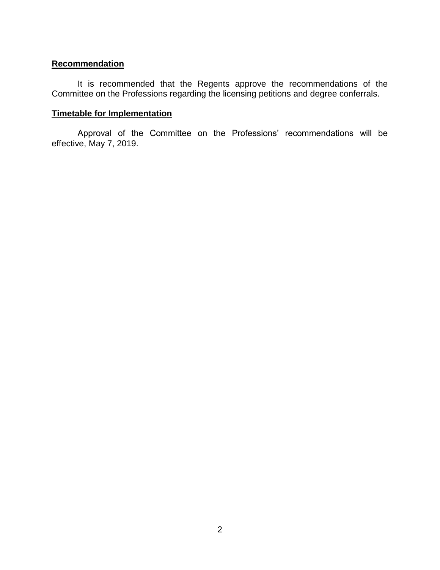### **Recommendation**

It is recommended that the Regents approve the recommendations of the Committee on the Professions regarding the licensing petitions and degree conferrals.

## **Timetable for Implementation**

Approval of the Committee on the Professions' recommendations will be effective, May 7, 2019.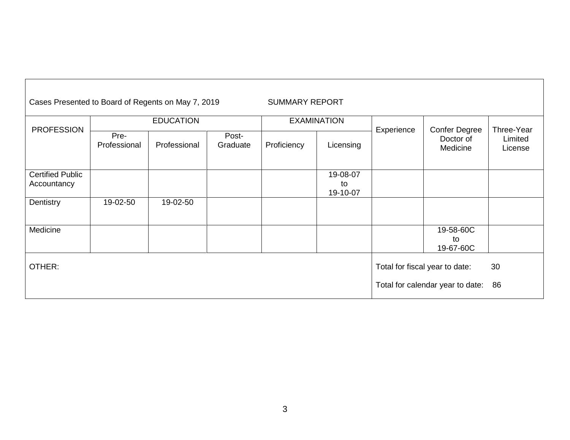| Cases Presented to Board of Regents on May 7, 2019 |                      |              |                   | <b>SUMMARY REPORT</b> |                            |            |                                               |                                  |
|----------------------------------------------------|----------------------|--------------|-------------------|-----------------------|----------------------------|------------|-----------------------------------------------|----------------------------------|
| <b>PROFESSION</b>                                  | <b>EDUCATION</b>     |              |                   | <b>EXAMINATION</b>    |                            |            |                                               |                                  |
|                                                    | Pre-<br>Professional | Professional | Post-<br>Graduate | Proficiency           | Licensing                  | Experience | <b>Confer Degree</b><br>Doctor of<br>Medicine | Three-Year<br>Limited<br>License |
| <b>Certified Public</b><br>Accountancy             |                      |              |                   |                       | 19-08-07<br>to<br>19-10-07 |            |                                               |                                  |
| Dentistry                                          | 19-02-50             | 19-02-50     |                   |                       |                            |            |                                               |                                  |
| Medicine                                           |                      |              |                   |                       |                            |            | 19-58-60C<br>to<br>19-67-60C                  |                                  |
| OTHER:                                             |                      |              |                   |                       |                            |            | Total for fiscal year to date:                | 30                               |
|                                                    |                      |              |                   |                       |                            |            | Total for calendar year to date:              | 86                               |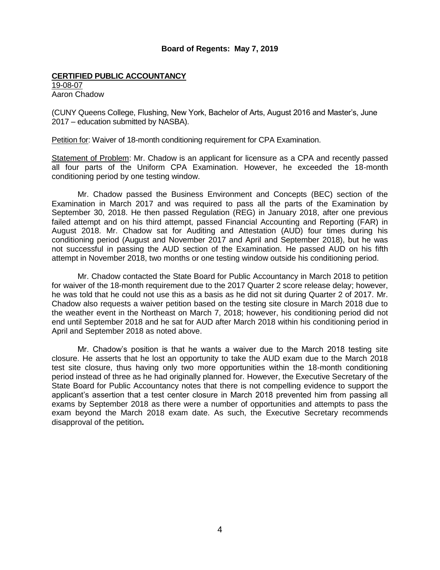#### **Board of Regents: May 7, 2019**

#### **CERTIFIED PUBLIC ACCOUNTANCY**

19-08-07 Aaron Chadow

(CUNY Queens College, Flushing, New York, Bachelor of Arts, August 2016 and Master's, June 2017 – education submitted by NASBA).

Petition for: Waiver of 18-month conditioning requirement for CPA Examination.

Statement of Problem: Mr. Chadow is an applicant for licensure as a CPA and recently passed all four parts of the Uniform CPA Examination. However, he exceeded the 18-month conditioning period by one testing window.

Mr. Chadow passed the Business Environment and Concepts (BEC) section of the Examination in March 2017 and was required to pass all the parts of the Examination by September 30, 2018. He then passed Regulation (REG) in January 2018, after one previous failed attempt and on his third attempt, passed Financial Accounting and Reporting (FAR) in August 2018. Mr. Chadow sat for Auditing and Attestation (AUD) four times during his conditioning period (August and November 2017 and April and September 2018), but he was not successful in passing the AUD section of the Examination. He passed AUD on his fifth attempt in November 2018, two months or one testing window outside his conditioning period.

Mr. Chadow contacted the State Board for Public Accountancy in March 2018 to petition for waiver of the 18-month requirement due to the 2017 Quarter 2 score release delay; however, he was told that he could not use this as a basis as he did not sit during Quarter 2 of 2017. Mr. Chadow also requests a waiver petition based on the testing site closure in March 2018 due to the weather event in the Northeast on March 7, 2018; however, his conditioning period did not end until September 2018 and he sat for AUD after March 2018 within his conditioning period in April and September 2018 as noted above.

Mr. Chadow's position is that he wants a waiver due to the March 2018 testing site closure. He asserts that he lost an opportunity to take the AUD exam due to the March 2018 test site closure, thus having only two more opportunities within the 18-month conditioning period instead of three as he had originally planned for. However, the Executive Secretary of the State Board for Public Accountancy notes that there is not compelling evidence to support the applicant's assertion that a test center closure in March 2018 prevented him from passing all exams by September 2018 as there were a number of opportunities and attempts to pass the exam beyond the March 2018 exam date. As such, the Executive Secretary recommends disapproval of the petition**.**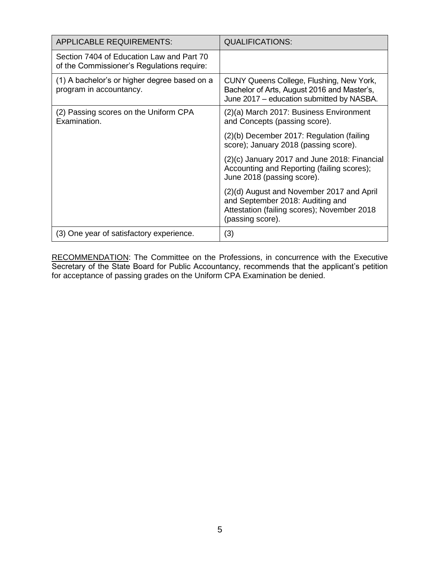| <b>APPLICABLE REQUIREMENTS:</b>                                                         | <b>QUALIFICATIONS:</b>                                                                                                                           |
|-----------------------------------------------------------------------------------------|--------------------------------------------------------------------------------------------------------------------------------------------------|
| Section 7404 of Education Law and Part 70<br>of the Commissioner's Regulations require: |                                                                                                                                                  |
| (1) A bachelor's or higher degree based on a<br>program in accountancy.                 | CUNY Queens College, Flushing, New York,<br>Bachelor of Arts, August 2016 and Master's,<br>June 2017 – education submitted by NASBA.             |
| (2) Passing scores on the Uniform CPA<br>Examination.                                   | (2)(a) March 2017: Business Environment<br>and Concepts (passing score).                                                                         |
|                                                                                         | (2)(b) December 2017: Regulation (failing<br>score); January 2018 (passing score).                                                               |
|                                                                                         | $(2)(c)$ January 2017 and June 2018: Financial<br>Accounting and Reporting (failing scores);<br>June 2018 (passing score).                       |
|                                                                                         | (2)(d) August and November 2017 and April<br>and September 2018: Auditing and<br>Attestation (failing scores); November 2018<br>(passing score). |
| (3) One year of satisfactory experience.                                                | (3)                                                                                                                                              |

RECOMMENDATION: The Committee on the Professions, in concurrence with the Executive Secretary of the State Board for Public Accountancy, recommends that the applicant's petition for acceptance of passing grades on the Uniform CPA Examination be denied.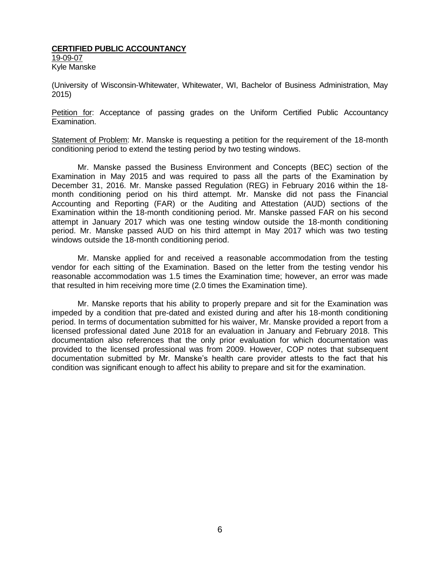#### **CERTIFIED PUBLIC ACCOUNTANCY**  19-09-07 Kyle Manske

(University of Wisconsin-Whitewater, Whitewater, WI, Bachelor of Business Administration, May 2015)

Petition for: Acceptance of passing grades on the Uniform Certified Public Accountancy Examination.

Statement of Problem: Mr. Manske is requesting a petition for the requirement of the 18-month conditioning period to extend the testing period by two testing windows.

Mr. Manske passed the Business Environment and Concepts (BEC) section of the Examination in May 2015 and was required to pass all the parts of the Examination by December 31, 2016. Mr. Manske passed Regulation (REG) in February 2016 within the 18 month conditioning period on his third attempt. Mr. Manske did not pass the Financial Accounting and Reporting (FAR) or the Auditing and Attestation (AUD) sections of the Examination within the 18-month conditioning period. Mr. Manske passed FAR on his second attempt in January 2017 which was one testing window outside the 18-month conditioning period. Mr. Manske passed AUD on his third attempt in May 2017 which was two testing windows outside the 18-month conditioning period.

Mr. Manske applied for and received a reasonable accommodation from the testing vendor for each sitting of the Examination. Based on the letter from the testing vendor his reasonable accommodation was 1.5 times the Examination time; however, an error was made that resulted in him receiving more time (2.0 times the Examination time).

Mr. Manske reports that his ability to properly prepare and sit for the Examination was impeded by a condition that pre-dated and existed during and after his 18-month conditioning period. In terms of documentation submitted for his waiver, Mr. Manske provided a report from a licensed professional dated June 2018 for an evaluation in January and February 2018. This documentation also references that the only prior evaluation for which documentation was provided to the licensed professional was from 2009. However, COP notes that subsequent documentation submitted by Mr. Manske's health care provider attests to the fact that his condition was significant enough to affect his ability to prepare and sit for the examination.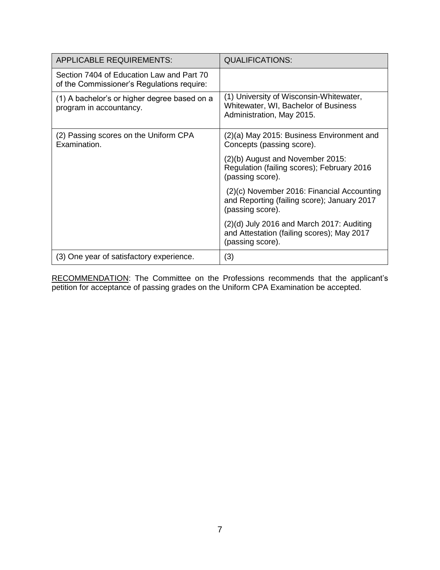| <b>APPLICABLE REQUIREMENTS:</b>                                                         | <b>QUALIFICATIONS:</b>                                                                                        |
|-----------------------------------------------------------------------------------------|---------------------------------------------------------------------------------------------------------------|
| Section 7404 of Education Law and Part 70<br>of the Commissioner's Regulations require: |                                                                                                               |
| (1) A bachelor's or higher degree based on a<br>program in accountancy.                 | (1) University of Wisconsin-Whitewater,<br>Whitewater, WI, Bachelor of Business<br>Administration, May 2015.  |
| (2) Passing scores on the Uniform CPA<br>Examination.                                   | (2)(a) May 2015: Business Environment and<br>Concepts (passing score).                                        |
|                                                                                         | (2)(b) August and November 2015:<br>Regulation (failing scores); February 2016<br>(passing score).            |
|                                                                                         | (2)(c) November 2016: Financial Accounting<br>and Reporting (failing score); January 2017<br>(passing score). |
|                                                                                         | $(2)(d)$ July 2016 and March 2017: Auditing<br>and Attestation (failing scores); May 2017<br>(passing score). |
| (3) One year of satisfactory experience.                                                | (3)                                                                                                           |

RECOMMENDATION: The Committee on the Professions recommends that the applicant's petition for acceptance of passing grades on the Uniform CPA Examination be accepted.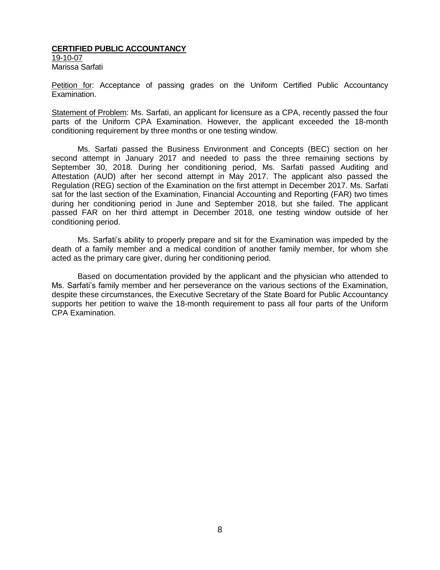### **CERTIFIED PUBLIC ACCOUNTANCY**

19-10-07 Marissa Sarfati

Petition for: Acceptance of passing grades on the Uniform Certified Public Accountancy Examination.

Statement of Problem: Ms. Sarfati, an applicant for licensure as a CPA, recently passed the four parts of the Uniform CPA Examination. However, the applicant exceeded the 18-month conditioning requirement by three months or one testing window.

Ms. Sarfati passed the Business Environment and Concepts (BEC) section on her second attempt in January 2017 and needed to pass the three remaining sections by September 30, 2018. During her conditioning period, Ms. Sarfati passed Auditing and Attestation (AUD) after her second attempt in May 2017. The applicant also passed the Regulation (REG) section of the Examination on the first attempt in December 2017. Ms. Sarfati sat for the last section of the Examination, Financial Accounting and Reporting (FAR) two times during her conditioning period in June and September 2018, but she failed. The applicant passed FAR on her third attempt in December 2018, one testing window outside of her conditioning period.

Ms. Sarfati's ability to properly prepare and sit for the Examination was impeded by the death of a family member and a medical condition of another family member, for whom she acted as the primary care giver, during her conditioning period.

Based on documentation provided by the applicant and the physician who attended to Ms. Sarfati's family member and her perseverance on the various sections of the Examination, despite these circumstances, the Executive Secretary of the State Board for Public Accountancy supports her petition to waive the 18-month requirement to pass all four parts of the Uniform CPA Examination.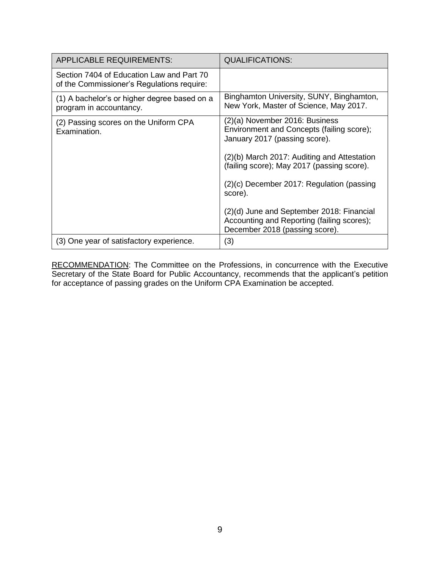| <b>APPLICABLE REQUIREMENTS:</b>                                                         | <b>QUALIFICATIONS:</b>                                                                                                                                                                                                                                                                                                                                                                         |
|-----------------------------------------------------------------------------------------|------------------------------------------------------------------------------------------------------------------------------------------------------------------------------------------------------------------------------------------------------------------------------------------------------------------------------------------------------------------------------------------------|
| Section 7404 of Education Law and Part 70<br>of the Commissioner's Regulations require: |                                                                                                                                                                                                                                                                                                                                                                                                |
| (1) A bachelor's or higher degree based on a<br>program in accountancy.                 | Binghamton University, SUNY, Binghamton,<br>New York, Master of Science, May 2017.                                                                                                                                                                                                                                                                                                             |
| (2) Passing scores on the Uniform CPA<br>Examination.                                   | (2)(a) November 2016: Business<br>Environment and Concepts (failing score);<br>January 2017 (passing score).<br>(2)(b) March 2017: Auditing and Attestation<br>(failing score); May 2017 (passing score).<br>(2)(c) December 2017: Regulation (passing<br>score).<br>(2)(d) June and September 2018: Financial<br>Accounting and Reporting (failing scores);<br>December 2018 (passing score). |
| (3) One year of satisfactory experience.                                                | (3)                                                                                                                                                                                                                                                                                                                                                                                            |

RECOMMENDATION: The Committee on the Professions, in concurrence with the Executive Secretary of the State Board for Public Accountancy, recommends that the applicant's petition for acceptance of passing grades on the Uniform CPA Examination be accepted.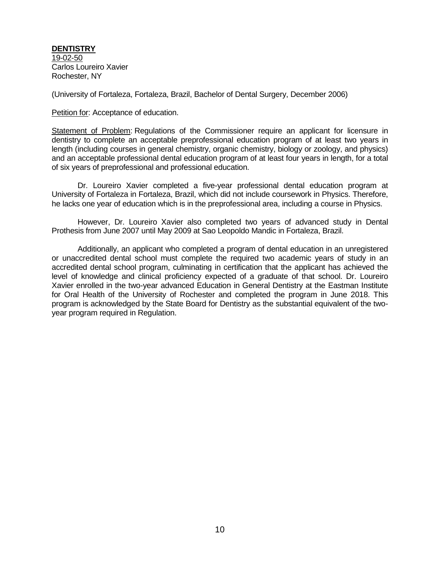**DENTISTRY** 19-02-50 Carlos Loureiro Xavier Rochester, NY

(University of Fortaleza, Fortaleza, Brazil, Bachelor of Dental Surgery, December 2006)

Petition for: Acceptance of education.

Statement of Problem: Regulations of the Commissioner require an applicant for licensure in dentistry to complete an acceptable preprofessional education program of at least two years in length (including courses in general chemistry, organic chemistry, biology or zoology, and physics) and an acceptable professional dental education program of at least four years in length, for a total of six years of preprofessional and professional education.

Dr. Loureiro Xavier completed a five-year professional dental education program at University of Fortaleza in Fortaleza, Brazil, which did not include coursework in Physics. Therefore, he lacks one year of education which is in the preprofessional area, including a course in Physics.

However, Dr. Loureiro Xavier also completed two years of advanced study in Dental Prothesis from June 2007 until May 2009 at Sao Leopoldo Mandic in Fortaleza, Brazil.

Additionally, an applicant who completed a program of dental education in an unregistered or unaccredited dental school must complete the required two academic years of study in an accredited dental school program, culminating in certification that the applicant has achieved the level of knowledge and clinical proficiency expected of a graduate of that school. Dr. Loureiro Xavier enrolled in the two-year advanced Education in General Dentistry at the Eastman Institute for Oral Health of the University of Rochester and completed the program in June 2018. This program is acknowledged by the State Board for Dentistry as the substantial equivalent of the twoyear program required in Regulation.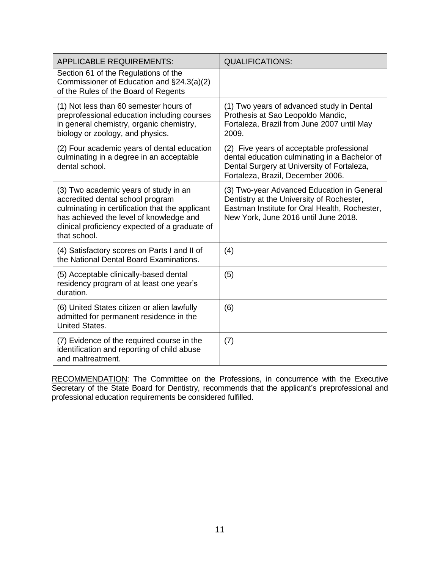| <b>APPLICABLE REQUIREMENTS:</b>                                                                                                                                                                                                           | <b>QUALIFICATIONS:</b>                                                                                                                                                           |
|-------------------------------------------------------------------------------------------------------------------------------------------------------------------------------------------------------------------------------------------|----------------------------------------------------------------------------------------------------------------------------------------------------------------------------------|
| Section 61 of the Regulations of the<br>Commissioner of Education and §24.3(a)(2)<br>of the Rules of the Board of Regents                                                                                                                 |                                                                                                                                                                                  |
| (1) Not less than 60 semester hours of<br>preprofessional education including courses<br>in general chemistry, organic chemistry,<br>biology or zoology, and physics.                                                                     | (1) Two years of advanced study in Dental<br>Prothesis at Sao Leopoldo Mandic,<br>Fortaleza, Brazil from June 2007 until May<br>2009.                                            |
| (2) Four academic years of dental education<br>culminating in a degree in an acceptable<br>dental school.                                                                                                                                 | (2) Five years of acceptable professional<br>dental education culminating in a Bachelor of<br>Dental Surgery at University of Fortaleza,<br>Fortaleza, Brazil, December 2006.    |
| (3) Two academic years of study in an<br>accredited dental school program<br>culminating in certification that the applicant<br>has achieved the level of knowledge and<br>clinical proficiency expected of a graduate of<br>that school. | (3) Two-year Advanced Education in General<br>Dentistry at the University of Rochester,<br>Eastman Institute for Oral Health, Rochester,<br>New York, June 2016 until June 2018. |
| (4) Satisfactory scores on Parts I and II of<br>the National Dental Board Examinations.                                                                                                                                                   | (4)                                                                                                                                                                              |
| (5) Acceptable clinically-based dental<br>residency program of at least one year's<br>duration.                                                                                                                                           | (5)                                                                                                                                                                              |
| (6) United States citizen or alien lawfully<br>admitted for permanent residence in the<br><b>United States.</b>                                                                                                                           | (6)                                                                                                                                                                              |
| (7) Evidence of the required course in the<br>identification and reporting of child abuse<br>and maltreatment.                                                                                                                            | (7)                                                                                                                                                                              |

RECOMMENDATION: The Committee on the Professions, in concurrence with the Executive Secretary of the State Board for Dentistry, recommends that the applicant's preprofessional and professional education requirements be considered fulfilled.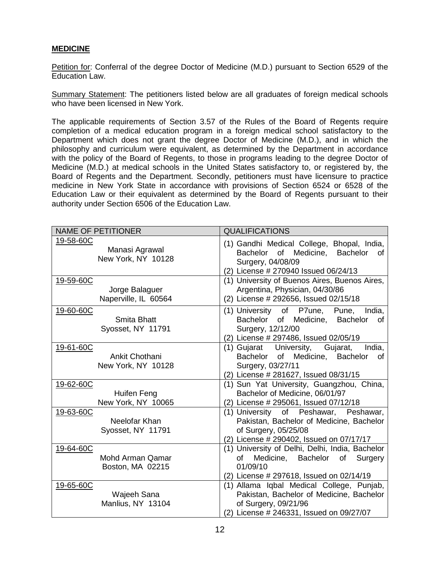### **MEDICINE**

Petition for: Conferral of the degree Doctor of Medicine (M.D.) pursuant to Section 6529 of the Education Law.

Summary Statement: The petitioners listed below are all graduates of foreign medical schools who have been licensed in New York.

The applicable requirements of Section 3.57 of the Rules of the Board of Regents require completion of a medical education program in a foreign medical school satisfactory to the Department which does not grant the degree Doctor of Medicine (M.D.), and in which the philosophy and curriculum were equivalent, as determined by the Department in accordance with the policy of the Board of Regents, to those in programs leading to the degree Doctor of Medicine (M.D.) at medical schools in the United States satisfactory to, or registered by, the Board of Regents and the Department. Secondly, petitioners must have licensure to practice medicine in New York State in accordance with provisions of Section 6524 or 6528 of the Education Law or their equivalent as determined by the Board of Regents pursuant to their authority under Section 6506 of the Education Law.

| <b>NAME OF PETITIONER</b>                                                    | <b>QUALIFICATIONS</b>                                                                                                                                                                                     |  |  |  |
|------------------------------------------------------------------------------|-----------------------------------------------------------------------------------------------------------------------------------------------------------------------------------------------------------|--|--|--|
| 19-58-60C<br>Manasi Agrawal<br>New York, NY 10128                            | (1) Gandhi Medical College, Bhopal, India,<br>Bachelor of Medicine, Bachelor<br>of<br>Surgery, 04/08/09<br>(2) License # 270940 Issued 06/24/13                                                           |  |  |  |
| 19-59-60C<br>Jorge Balaguer<br>Naperville, IL 60564                          | (1) University of Buenos Aires, Buenos Aires,<br>Argentina, Physician, 04/30/86<br>(2) License # 292656, Issued 02/15/18                                                                                  |  |  |  |
| 19-60-60C<br>Smita Bhatt<br>Syosset, NY 11791                                | (1) University of P7une, Pune, India,<br>Bachelor of Medicine, Bachelor<br>of<br>Surgery, 12/12/00<br>(2) License # 297486, Issued 02/05/19                                                               |  |  |  |
| 19-61-60C<br>Ankit Chothani<br>New York, NY 10128                            | India,<br>(1) Gujarat University, Gujarat,<br>Bachelor of Medicine, Bachelor<br>0f<br>Surgery, 03/27/11<br>(2) License # 281627, Issued 08/31/15                                                          |  |  |  |
| 19-62-60C<br>Huifen Feng<br>New York, NY 10065<br>19-63-60C<br>Neelofar Khan | (1) Sun Yat University, Guangzhou, China,<br>Bachelor of Medicine, 06/01/97<br>(2) License # 295061, Issued 07/12/18<br>(1) University of Peshawar, Peshawar,<br>Pakistan, Bachelor of Medicine, Bachelor |  |  |  |
| Syosset, NY 11791                                                            | of Surgery, 05/25/08<br>(2) License # 290402, Issued on 07/17/17                                                                                                                                          |  |  |  |
| 19-64-60C<br>Mohd Arman Qamar<br>Boston, MA 02215                            | (1) University of Delhi, Delhi, India, Bachelor<br>Medicine, Bachelor<br>Surgery<br>Ωf<br>of<br>01/09/10<br>(2) License # 297618, Issued on 02/14/19                                                      |  |  |  |
| 19-65-60C<br>Wajeeh Sana<br>Manlius, NY 13104                                | (1) Allama Iqbal Medical College, Punjab,<br>Pakistan, Bachelor of Medicine, Bachelor<br>of Surgery, 09/21/96<br>(2) License # 246331, Issued on 09/27/07                                                 |  |  |  |